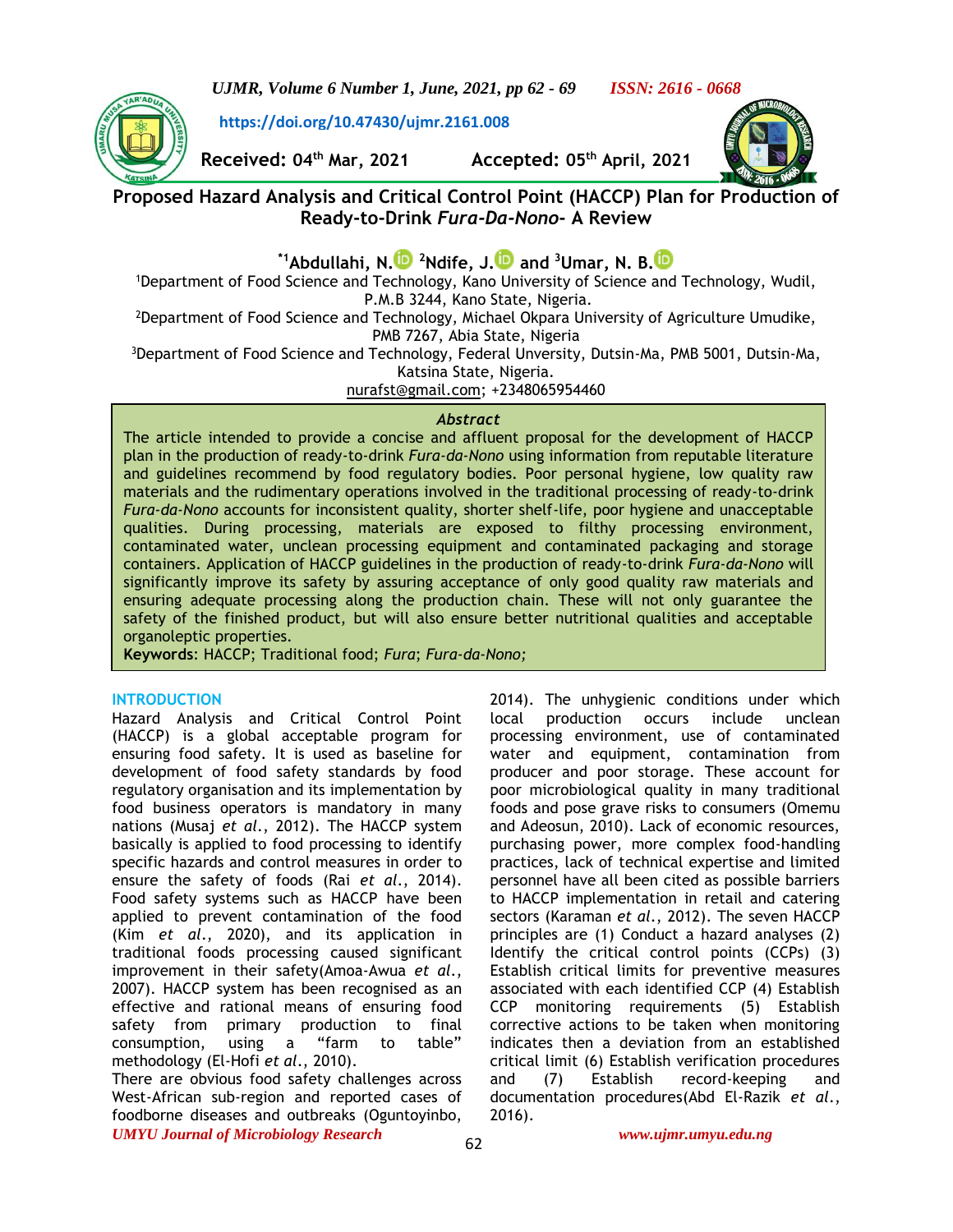*UJMR, Volume 6 Number 1, June, 2021, pp 62 - 69 ISSN: 2616 - 0668*

**<https://doi.org/10.47430/ujmr.2161.008>**



**Received: 04th Mar, 2021 Accepted: 05th April, 2021**



**Proposed Hazard Analysis and Critical Control Point (HACCP) Plan for Production of Ready-to-Drink** *Fura-Da-Nono***- A Review**

**\*1Abdullahi, N[.](https://orcid.org/0000-0001-9143-6560) <sup>2</sup>Ndife, J[.](https://orcid.org/0000-0003-0481-7547) and <sup>3</sup>Umar, N. B[.](https://orcid.org/0000-0003-1488-1593)**

<sup>1</sup>Department of Food Science and Technology, Kano University of Science and Technology, Wudil, P.M.B 3244, Kano State, Nigeria.

<sup>2</sup>Department of Food Science and Technology, Michael Okpara University of Agriculture Umudike, PMB 7267, Abia State, Nigeria

<sup>3</sup>Department of Food Science and Technology, Federal Unversity, Dutsin-Ma, PMB 5001, Dutsin-Ma, Katsina State, Nigeria.

[nurafst@gmail.com;](mailto:nurafst@gmail.com) +2348065954460

# *Abstract*

The article intended to provide a concise and affluent proposal for the development of HACCP plan in the production of ready-to-drink *Fura-da-Nono* using information from reputable literature and guidelines recommend by food regulatory bodies. Poor personal hygiene, low quality raw materials and the rudimentary operations involved in the traditional processing of ready-to-drink *Fura-da-Nono* accounts for inconsistent quality, shorter shelf-life, poor hygiene and unacceptable qualities. During processing, materials are exposed to filthy processing environment, contaminated water, unclean processing equipment and contaminated packaging and storage containers. Application of HACCP guidelines in the production of ready-to-drink *Fura-da-Nono* will significantly improve its safety by assuring acceptance of only good quality raw materials and ensuring adequate processing along the production chain. These will not only guarantee the safety of the finished product, but will also ensure better nutritional qualities and acceptable organoleptic properties.

**Keywords**: HACCP; Traditional food; *Fura*; *Fura-da-Nono;*

# **INTRODUCTION**

Hazard Analysis and Critical Control Point (HACCP) is a global acceptable program for ensuring food safety. It is used as baseline for development of food safety standards by food regulatory organisation and its implementation by food business operators is mandatory in many nations (Musaj *et al*., 2012). The HACCP system basically is applied to food processing to identify specific hazards and control measures in order to ensure the safety of foods (Rai *et al*., 2014). Food safety systems such as HACCP have been applied to prevent contamination of the food (Kim *et al*., 2020), and its application in traditional foods processing caused significant improvement in their safety(Amoa-Awua *et al*., 2007). HACCP system has been recognised as an effective and rational means of ensuring food safety from primary production to final consumption, using a "farm to table" methodology (El-Hofi *et al*., 2010).

*UMYU Journal of Microbiology Research www.ujmr.umyu.edu.ng* There are obvious food safety challenges across West-African sub-region and reported cases of foodborne diseases and outbreaks (Oguntoyinbo,

2014). The unhygienic conditions under which local production occurs include unclean processing environment, use of contaminated water and equipment, contamination from producer and poor storage. These account for poor microbiological quality in many traditional foods and pose grave risks to consumers (Omemu and Adeosun, 2010). Lack of economic resources, purchasing power, more complex food-handling practices, lack of technical expertise and limited personnel have all been cited as possible barriers to HACCP implementation in retail and catering sectors (Karaman *et al*., 2012). The seven HACCP principles are (1) Conduct a hazard analyses (2) Identify the critical control points (CCPs) (3) Establish critical limits for preventive measures associated with each identified CCP (4) Establish CCP monitoring requirements (5) Establish corrective actions to be taken when monitoring indicates then a deviation from an established critical limit (6) Establish verification procedures and (7) Establish record-keeping and documentation procedures(Abd El-Razik *et al*., 2016).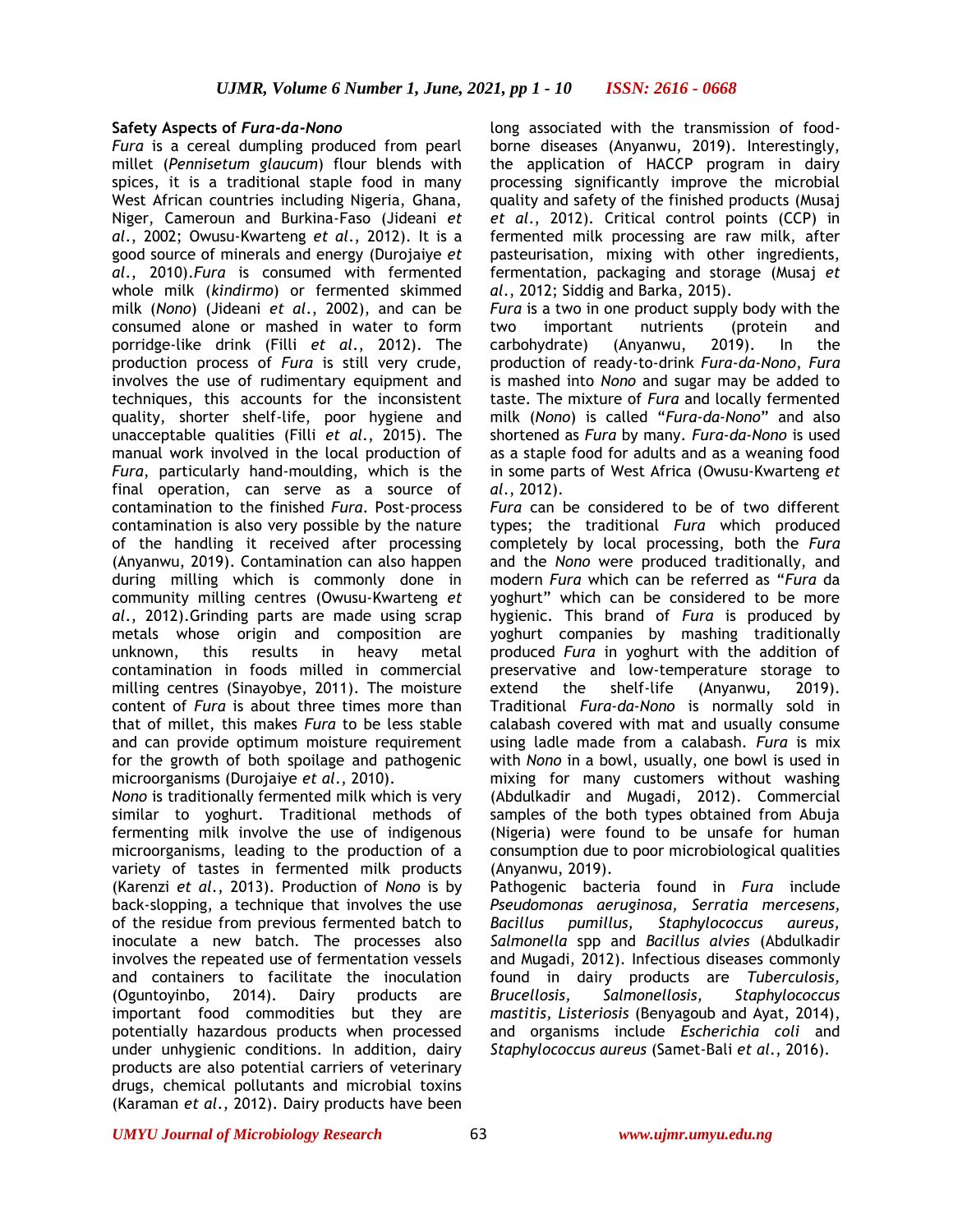## **Safety Aspects of** *Fura-da-Nono*

*Fura* is a cereal dumpling produced from pearl millet (*Pennisetum glaucum*) flour blends with spices, it is a traditional staple food in many West African countries including Nigeria, Ghana, Niger, Cameroun and Burkina-Faso (Jideani *et al*., 2002; Owusu-Kwarteng *et al*., 2012). It is a good source of minerals and energy (Durojaiye *et al*., 2010).*Fura* is consumed with fermented whole milk (*kindirmo*) or fermented skimmed milk (*Nono*) (Jideani *et al*., 2002), and can be consumed alone or mashed in water to form porridge-like drink (Filli *et al*., 2012). The production process of *Fura* is still very crude, involves the use of rudimentary equipment and techniques, this accounts for the inconsistent quality, shorter shelf-life, poor hygiene and unacceptable qualities (Filli *et al*., 2015). The manual work involved in the local production of *Fura*, particularly hand-moulding, which is the final operation, can serve as a source of contamination to the finished *Fura*. Post-process contamination is also very possible by the nature of the handling it received after processing (Anyanwu, 2019). Contamination can also happen during milling which is commonly done in community milling centres (Owusu-Kwarteng *et al*., 2012).Grinding parts are made using scrap metals whose origin and composition are unknown, this results in heavy metal contamination in foods milled in commercial milling centres (Sinayobye, 2011). The moisture content of *Fura* is about three times more than that of millet, this makes *Fura* to be less stable and can provide optimum moisture requirement for the growth of both spoilage and pathogenic microorganisms (Durojaiye *et al*., 2010).

*Nono* is traditionally fermented milk which is very similar to yoghurt. Traditional methods of fermenting milk involve the use of indigenous microorganisms, leading to the production of a variety of tastes in fermented milk products (Karenzi *et al*., 2013). Production of *Nono* is by back-slopping, a technique that involves the use of the residue from previous fermented batch to inoculate a new batch. The processes also involves the repeated use of fermentation vessels and containers to facilitate the inoculation (Oguntoyinbo, 2014). Dairy products are important food commodities but they are potentially hazardous products when processed under unhygienic conditions. In addition, dairy products are also potential carriers of veterinary drugs, chemical pollutants and microbial toxins (Karaman *et al*., 2012). Dairy products have been

long associated with the transmission of foodborne diseases (Anyanwu, 2019). Interestingly, the application of HACCP program in dairy processing significantly improve the microbial quality and safety of the finished products (Musaj *et al*., 2012). Critical control points (CCP) in fermented milk processing are raw milk, after pasteurisation, mixing with other ingredients, fermentation, packaging and storage (Musaj *et al*., 2012; Siddig and Barka, 2015).

*Fura* is a two in one product supply body with the two important nutrients (protein and carbohydrate) (Anyanwu, 2019). In the production of ready-to-drink *Fura-da-Nono*, *Fura* is mashed into *Nono* and sugar may be added to taste. The mixture of *Fura* and locally fermented milk (*Nono*) is called "*Fura-da-Nono*" and also shortened as *Fura* by many. *Fura-da-Nono* is used as a staple food for adults and as a weaning food in some parts of West Africa (Owusu-Kwarteng *et al*., 2012).

*Fura* can be considered to be of two different types; the traditional *Fura* which produced completely by local processing, both the *Fura* and the *Nono* were produced traditionally, and modern *Fura* which can be referred as "*Fura* da yoghurt" which can be considered to be more hygienic. This brand of *Fura* is produced by yoghurt companies by mashing traditionally produced *Fura* in yoghurt with the addition of preservative and low-temperature storage to extend the shelf-life (Anyanwu, 2019). Traditional *Fura-da-Nono* is normally sold in calabash covered with mat and usually consume using ladle made from a calabash. *Fura* is mix with *Nono* in a bowl, usually, one bowl is used in mixing for many customers without washing (Abdulkadir and Mugadi, 2012). Commercial samples of the both types obtained from Abuja (Nigeria) were found to be unsafe for human consumption due to poor microbiological qualities (Anyanwu, 2019).

Pathogenic bacteria found in *Fura* include *Pseudomonas aeruginosa, Serratia mercesens, Bacillus pumillus, Staphylococcus aureus, Salmonella* spp and *Bacillus alvies* (Abdulkadir and Mugadi, 2012). Infectious diseases commonly found in dairy products are *Tuberculosis, Brucellosis, Salmonellosis, Staphylococcus mastitis, Listeriosis* (Benyagoub and Ayat, 2014), and organisms include *Escherichia coli* and *Staphylococcus aureus* (Samet-Bali *et al*., 2016).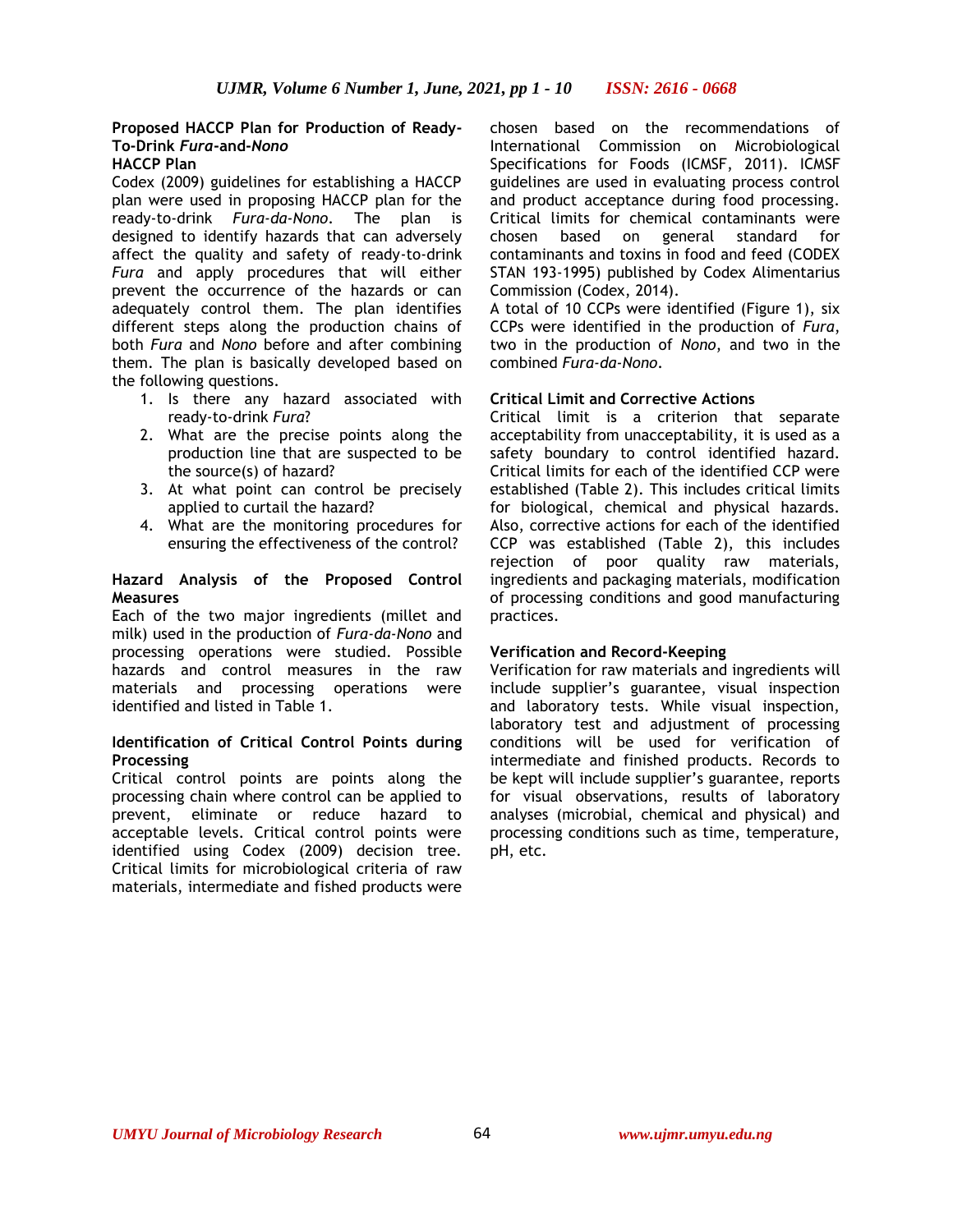# **Proposed HACCP Plan for Production of Ready-To-Drink** *Fura***-and-***Nono*

# **HACCP Plan**

Codex (2009) guidelines for establishing a HACCP plan were used in proposing HACCP plan for the ready-to-drink *Fura-da-Nono*. The plan is designed to identify hazards that can adversely affect the quality and safety of ready-to-drink *Fura* and apply procedures that will either prevent the occurrence of the hazards or can adequately control them. The plan identifies different steps along the production chains of both *Fura* and *Nono* before and after combining them. The plan is basically developed based on the following questions.

- 1. Is there any hazard associated with ready-to-drink *Fura*?
- 2. What are the precise points along the production line that are suspected to be the source(s) of hazard?
- 3. At what point can control be precisely applied to curtail the hazard?
- 4. What are the monitoring procedures for ensuring the effectiveness of the control?

#### **Hazard Analysis of the Proposed Control Measures**

Each of the two major ingredients (millet and milk) used in the production of *Fura-da-Nono* and processing operations were studied. Possible hazards and control measures in the raw materials and processing operations were identified and listed in Table 1.

### **Identification of Critical Control Points during Processing**

Critical control points are points along the processing chain where control can be applied to prevent, eliminate or reduce hazard to acceptable levels. Critical control points were identified using Codex (2009) decision tree. Critical limits for microbiological criteria of raw materials, intermediate and fished products were

chosen based on the recommendations of International Commission on Microbiological Specifications for Foods (ICMSF, 2011). ICMSF guidelines are used in evaluating process control and product acceptance during food processing. Critical limits for chemical contaminants were chosen based on general standard for contaminants and toxins in food and feed (CODEX STAN 193-1995) published by Codex Alimentarius Commission (Codex, 2014).

A total of 10 CCPs were identified (Figure 1), six CCPs were identified in the production of *Fura*, two in the production of *Nono*, and two in the combined *Fura-da-Nono*.

## **Critical Limit and Corrective Actions**

Critical limit is a criterion that separate acceptability from unacceptability, it is used as a safety boundary to control identified hazard. Critical limits for each of the identified CCP were established (Table 2). This includes critical limits for biological, chemical and physical hazards. Also, corrective actions for each of the identified CCP was established (Table 2), this includes rejection of poor quality raw materials, ingredients and packaging materials, modification of processing conditions and good manufacturing practices.

### **Verification and Record-Keeping**

Verification for raw materials and ingredients will include supplier's guarantee, visual inspection and laboratory tests. While visual inspection, laboratory test and adjustment of processing conditions will be used for verification of intermediate and finished products. Records to be kept will include supplier's guarantee, reports for visual observations, results of laboratory analyses (microbial, chemical and physical) and processing conditions such as time, temperature, pH, etc.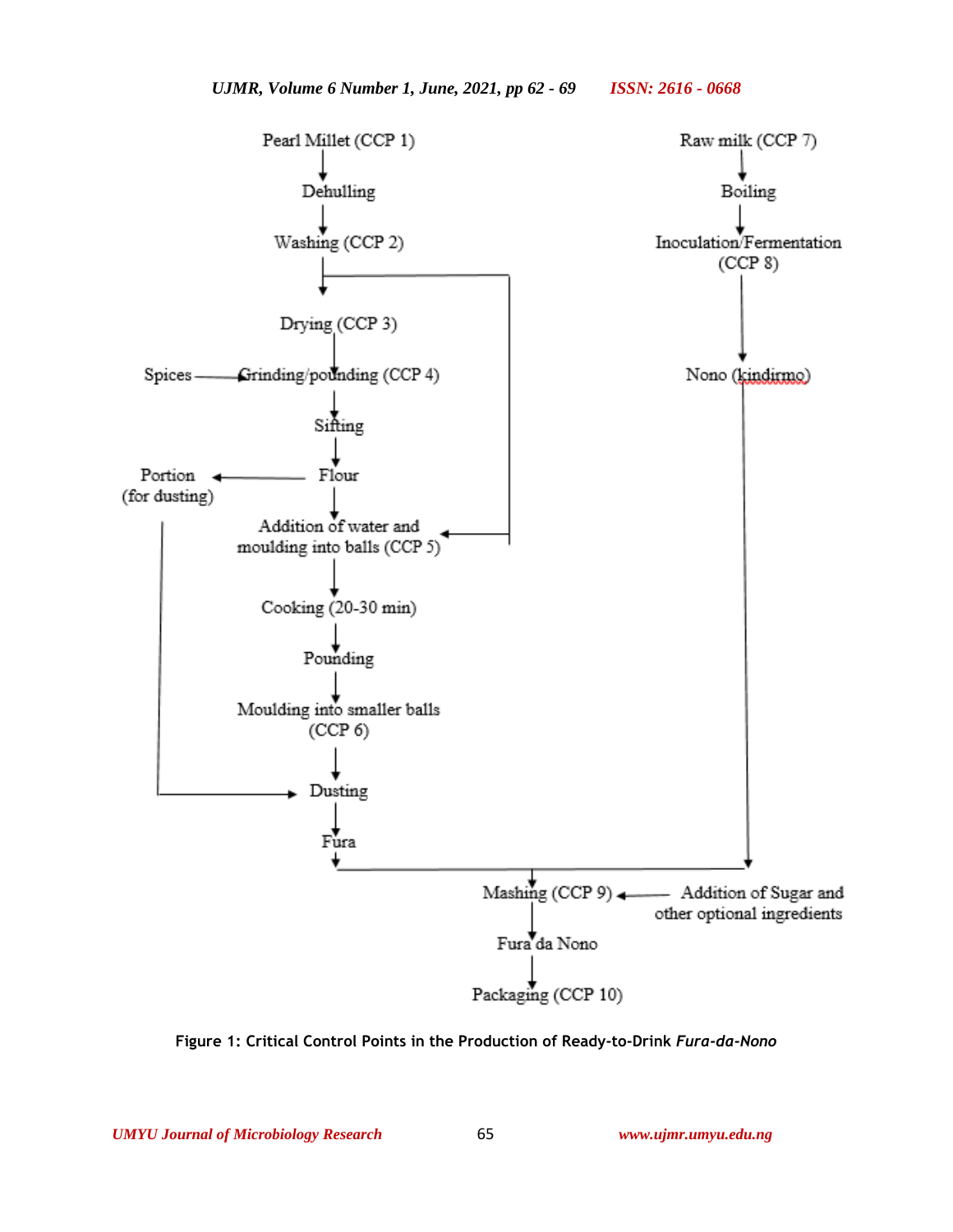

**Figure 1: Critical Control Points in the Production of Ready-to-Drink** *Fura-da-Nono*

*UMYU Journal of Microbiology Research www.ujmr.umyu.edu.ng*

65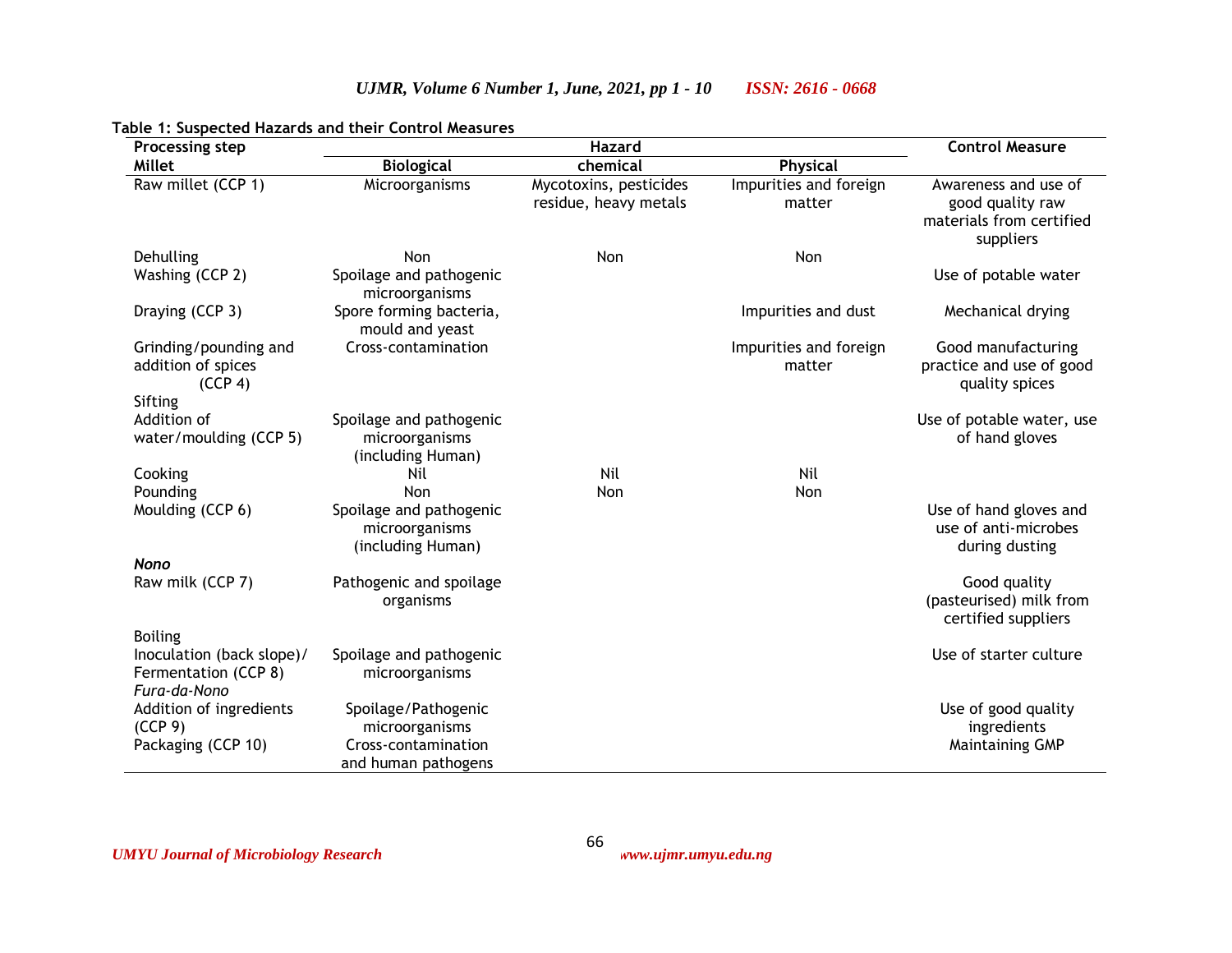| Processing step                                                   |                                                                | <b>Control Measure</b>                          |                                  |                                                                                   |
|-------------------------------------------------------------------|----------------------------------------------------------------|-------------------------------------------------|----------------------------------|-----------------------------------------------------------------------------------|
| <b>Millet</b>                                                     | <b>Biological</b>                                              | chemical                                        | Physical                         |                                                                                   |
| Raw millet (CCP 1)                                                | Microorganisms                                                 | Mycotoxins, pesticides<br>residue, heavy metals | Impurities and foreign<br>matter | Awareness and use of<br>good quality raw<br>materials from certified<br>suppliers |
| Dehulling                                                         | Non                                                            | Non                                             | Non                              |                                                                                   |
| Washing (CCP 2)                                                   | Spoilage and pathogenic<br>microorganisms                      |                                                 |                                  | Use of potable water                                                              |
| Draying (CCP 3)                                                   | Spore forming bacteria,<br>mould and yeast                     |                                                 | Impurities and dust              | Mechanical drying                                                                 |
| Grinding/pounding and<br>addition of spices<br>(CCP 4)            | Cross-contamination                                            |                                                 | Impurities and foreign<br>matter | Good manufacturing<br>practice and use of good<br>quality spices                  |
| Sifting                                                           |                                                                |                                                 |                                  |                                                                                   |
| Addition of<br>water/moulding (CCP 5)                             | Spoilage and pathogenic<br>microorganisms<br>(including Human) |                                                 |                                  | Use of potable water, use<br>of hand gloves                                       |
| Cooking                                                           | Nil                                                            | Nil                                             | Nil                              |                                                                                   |
| Pounding                                                          | Non                                                            | Non                                             | Non                              |                                                                                   |
| Moulding (CCP 6)                                                  | Spoilage and pathogenic<br>microorganisms<br>(including Human) |                                                 |                                  | Use of hand gloves and<br>use of anti-microbes<br>during dusting                  |
| <b>Nono</b>                                                       |                                                                |                                                 |                                  |                                                                                   |
| Raw milk (CCP 7)                                                  | Pathogenic and spoilage<br>organisms                           |                                                 |                                  | Good quality<br>(pasteurised) milk from<br>certified suppliers                    |
| <b>Boiling</b>                                                    |                                                                |                                                 |                                  |                                                                                   |
| Inoculation (back slope)/<br>Fermentation (CCP 8)<br>Fura-da-Nono | Spoilage and pathogenic<br>microorganisms                      |                                                 |                                  | Use of starter culture                                                            |
| Addition of ingredients                                           | Spoilage/Pathogenic                                            |                                                 |                                  | Use of good quality                                                               |
| (CCP 9)                                                           | microorganisms                                                 |                                                 |                                  | ingredients                                                                       |
| Packaging (CCP 10)                                                | Cross-contamination<br>and human pathogens                     |                                                 |                                  | <b>Maintaining GMP</b>                                                            |

66

*UJMR, Volume 6 Number 1, June, 2021, pp 1 - 10 ISSN: 2616 - 0668*

## **Table 1: Suspected Hazards and their Control Measures**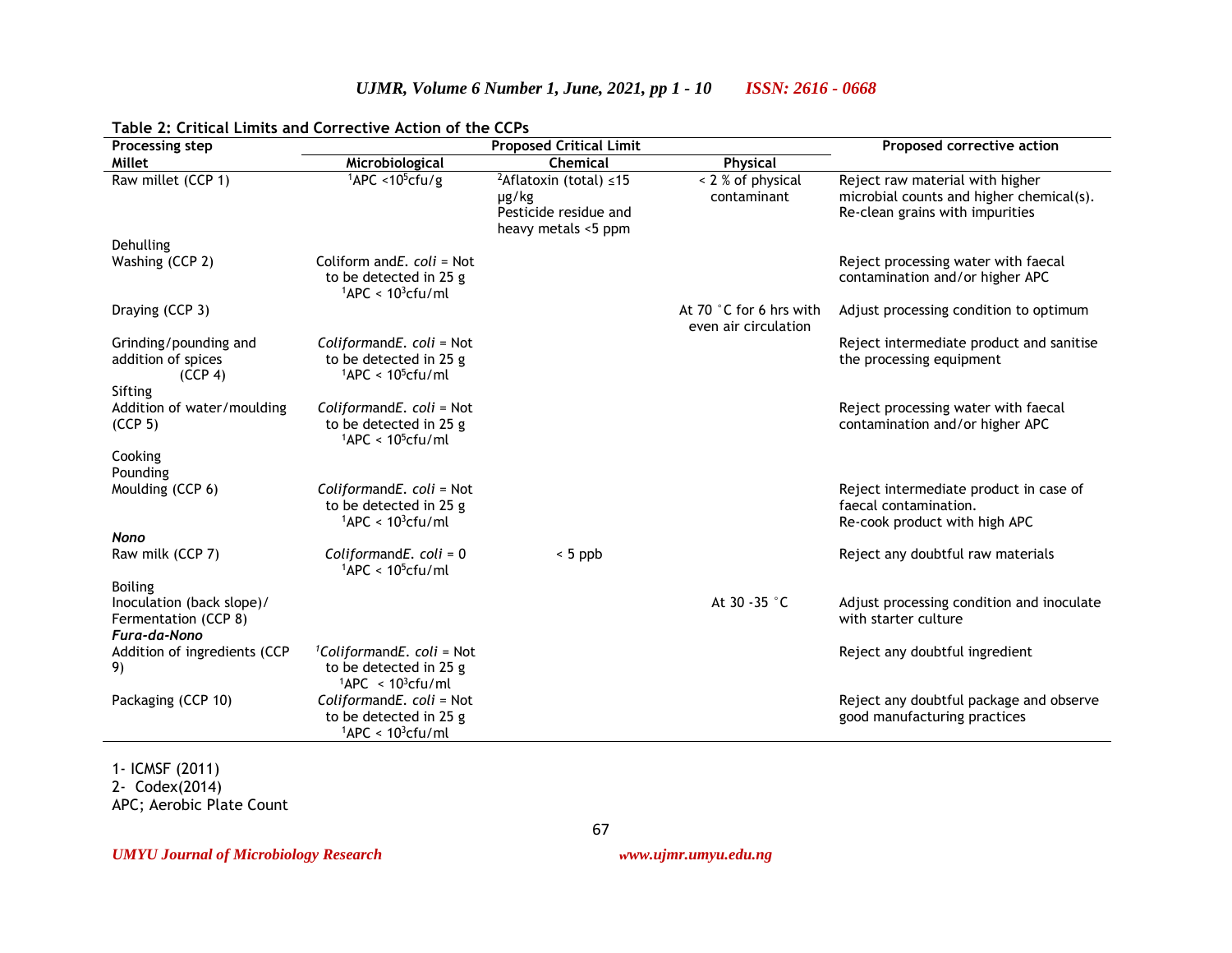| <b>Processing step</b>                                                              | <b>Proposed Critical Limit</b>                                                                      |                                                                                                   |                                                 | Proposed corrective action                                                                                     |
|-------------------------------------------------------------------------------------|-----------------------------------------------------------------------------------------------------|---------------------------------------------------------------------------------------------------|-------------------------------------------------|----------------------------------------------------------------------------------------------------------------|
| Millet                                                                              | Microbiological                                                                                     | Chemical                                                                                          | Physical                                        |                                                                                                                |
| Raw millet (CCP 1)                                                                  | $1$ APC <10 <sup>5</sup> cfu/g                                                                      | <sup>2</sup> Aflatoxin (total) $\leq$ 15<br>µg/kg<br>Pesticide residue and<br>heavy metals <5 ppm | $\sqrt{2}$ % of physical<br>contaminant         | Reject raw material with higher<br>microbial counts and higher chemical(s).<br>Re-clean grains with impurities |
| Dehulling                                                                           |                                                                                                     |                                                                                                   |                                                 |                                                                                                                |
| Washing (CCP 2)                                                                     | Coliform and $E$ . coli = Not<br>to be detected in 25 g<br>$1$ APC < $10^3$ cfu/ml                  |                                                                                                   |                                                 | Reject processing water with faecal<br>contamination and/or higher APC                                         |
| Draying (CCP 3)                                                                     |                                                                                                     |                                                                                                   | At 70 °C for 6 hrs with<br>even air circulation | Adjust processing condition to optimum                                                                         |
| Grinding/pounding and<br>addition of spices<br>(CCP 4)                              | ColiformandE. coli = Not<br>to be detected in 25 g<br>$1$ APC < 10 <sup>5</sup> cfu/ml              |                                                                                                   |                                                 | Reject intermediate product and sanitise<br>the processing equipment                                           |
| Sifting<br>Addition of water/moulding<br>(CCP <sub>5</sub> )                        | ColiformandE. coli = Not<br>to be detected in 25 g<br>$1$ APC < 10 <sup>5</sup> cfu/ml              |                                                                                                   |                                                 | Reject processing water with faecal<br>contamination and/or higher APC                                         |
| Cooking<br>Pounding                                                                 |                                                                                                     |                                                                                                   |                                                 |                                                                                                                |
| Moulding (CCP 6)                                                                    | ColiformandE. coli = Not<br>to be detected in 25 g<br>$1$ APC < 10 <sup>3</sup> cfu/ml              |                                                                                                   |                                                 | Reject intermediate product in case of<br>faecal contamination.<br>Re-cook product with high APC               |
| <b>Nono</b>                                                                         |                                                                                                     |                                                                                                   |                                                 |                                                                                                                |
| Raw milk (CCP 7)                                                                    | ColiformandE. $coli = 0$<br>$1$ APC < $10^5$ cfu/ml                                                 | $< 5$ ppb                                                                                         |                                                 | Reject any doubtful raw materials                                                                              |
| <b>Boiling</b><br>Inoculation (back slope)/<br>Fermentation (CCP 8)<br>Fura-da-Nono |                                                                                                     |                                                                                                   | At 30 - 35 °C                                   | Adjust processing condition and inoculate<br>with starter culture                                              |
| Addition of ingredients (CCP<br>9)                                                  | <sup>1</sup> ColiformandE. coli = Not<br>to be detected in 25 g<br>$1$ APC < 10 <sup>3</sup> cfu/ml |                                                                                                   |                                                 | Reject any doubtful ingredient                                                                                 |
| Packaging (CCP 10)                                                                  | ColiformandE. coli = Not<br>to be detected in 25 g<br>$1$ APC < 10 <sup>3</sup> cfu/ml              |                                                                                                   |                                                 | Reject any doubtful package and observe<br>good manufacturing practices                                        |

67

*UJMR, Volume 6 Number 1, June, 2021, pp 1 - 10 ISSN: 2616 - 0668*

#### **Table 2: Critical Limits and Corrective Action of the CCPs**

1- ICMSF (2011)

2- Codex(2014)

APC; Aerobic Plate Count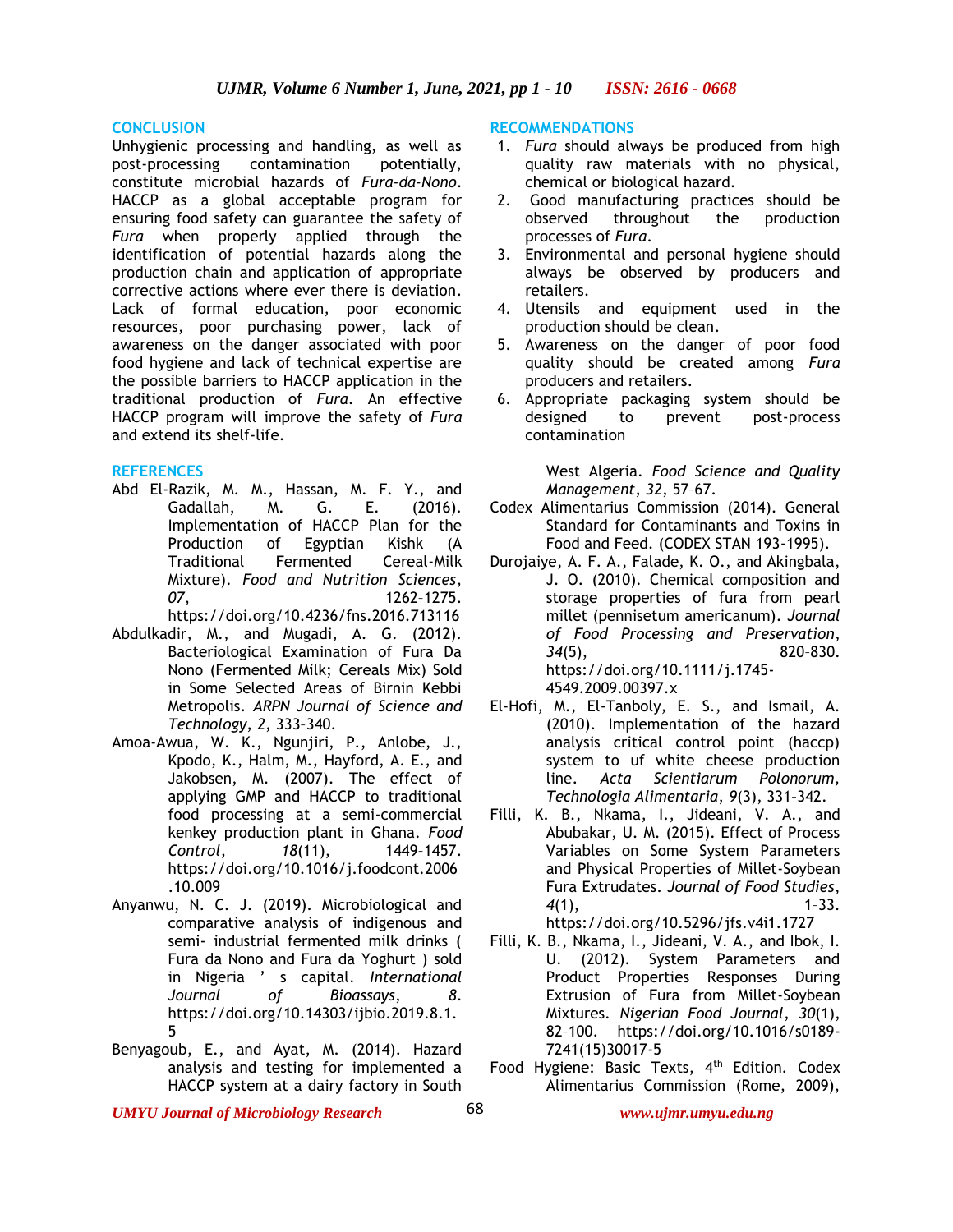#### **CONCLUSION**

Unhygienic processing and handling, as well as post-processing contamination potentially, constitute microbial hazards of *Fura-da-Nono*. HACCP as a global acceptable program for ensuring food safety can guarantee the safety of *Fura* when properly applied through the identification of potential hazards along the production chain and application of appropriate corrective actions where ever there is deviation. Lack of formal education, poor economic resources, poor purchasing power, lack of awareness on the danger associated with poor food hygiene and lack of technical expertise are the possible barriers to HACCP application in the traditional production of *Fura*. An effective HACCP program will improve the safety of *Fura* and extend its shelf-life.

#### **REFERENCES**

Abd El-Razik, M. M., Hassan, M. F. Y., and Gadallah, M. G. E. (2016). Implementation of HACCP Plan for the Production of Egyptian Kishk (A Traditional Fermented Cereal-Milk Mixture). *Food and Nutrition Sciences*, *07*, 1262–1275.

https://doi.org/10.4236/fns.2016.713116

- Abdulkadir, M., and Mugadi, A. G. (2012). Bacteriological Examination of Fura Da Nono (Fermented Milk; Cereals Mix) Sold in Some Selected Areas of Birnin Kebbi Metropolis. *ARPN Journal of Science and Technology*, *2*, 333–340.
- Amoa-Awua, W. K., Ngunjiri, P., Anlobe, J., Kpodo, K., Halm, M., Hayford, A. E., and Jakobsen, M. (2007). The effect of applying GMP and HACCP to traditional food processing at a semi-commercial kenkey production plant in Ghana. *Food Control*, *18*(11), 1449–1457. https://doi.org/10.1016/j.foodcont.2006 .10.009
- Anyanwu, N. C. J. (2019). Microbiological and comparative analysis of indigenous and semi- industrial fermented milk drinks ( Fura da Nono and Fura da Yoghurt ) sold in Nigeria ' s capital. *International Journal of Bioassays*, *8*. https://doi.org/10.14303/ijbio.2019.8.1. 5
- Benyagoub, E., and Ayat, M. (2014). Hazard analysis and testing for implemented a HACCP system at a dairy factory in South

#### **RECOMMENDATIONS**

- 1. *Fura* should always be produced from high quality raw materials with no physical, chemical or biological hazard.
- 2. Good manufacturing practices should be observed throughout the production processes of *Fura*.
- 3. Environmental and personal hygiene should always be observed by producers and retailers.
- 4. Utensils and equipment used in the production should be clean.
- 5. Awareness on the danger of poor food quality should be created among *Fura* producers and retailers.
- 6. Appropriate packaging system should be designed to prevent post-process contamination

West Algeria. *Food Science and Quality Management*, *32*, 57–67.

- Codex Alimentarius Commission (2014). General Standard for Contaminants and Toxins in Food and Feed. (CODEX STAN 193-1995).
- Durojaiye, A. F. A., Falade, K. O., and Akingbala, J. O. (2010). Chemical composition and storage properties of fura from pearl millet (pennisetum americanum). *Journal of Food Processing and Preservation*, *34*(5), 820–830. https://doi.org/10.1111/j.1745- 4549.2009.00397.x
- El-Hofi, M., El-Tanboly, E. S., and Ismail, A. (2010). Implementation of the hazard analysis critical control point (haccp) system to uf white cheese production line. *Acta Scientiarum Polonorum, Technologia Alimentaria*, *9*(3), 331–342.
- Filli, K. B., Nkama, I., Jideani, V. A., and Abubakar, U. M. (2015). Effect of Process Variables on Some System Parameters and Physical Properties of Millet-Soybean Fura Extrudates. *Journal of Food Studies*, *4*(1), 1–33. https://doi.org/10.5296/jfs.v4i1.1727
- Filli, K. B., Nkama, I., Jideani, V. A., and Ibok, I. U. (2012). System Parameters and Product Properties Responses During Extrusion of Fura from Millet-Soybean Mixtures. *Nigerian Food Journal*, *30*(1), 82–100. https://doi.org/10.1016/s0189- 7241(15)30017-5
- Food Hygiene: Basic Texts, 4<sup>th</sup> Edition. Codex Alimentarius Commission (Rome, 2009),